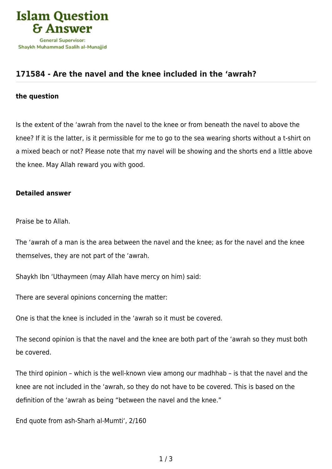

## **[171584 - Are the navel and the knee included in the 'awrah?](https://islamqa.com/en/answers/171584/are-the-navel-and-the-knee-included-in-the-awrah)**

## **the question**

Is the extent of the 'awrah from the navel to the knee or from beneath the navel to above the knee? If it is the latter, is it permissible for me to go to the sea wearing shorts without a t-shirt on a mixed beach or not? Please note that my navel will be showing and the shorts end a little above the knee. May Allah reward you with good.

## **Detailed answer**

Praise be to Allah.

The 'awrah of a man is the area between the navel and the knee; as for the navel and the knee themselves, they are not part of the 'awrah.

Shaykh Ibn 'Uthaymeen (may Allah have mercy on him) said:

There are several opinions concerning the matter:

One is that the knee is included in the 'awrah so it must be covered.

The second opinion is that the navel and the knee are both part of the 'awrah so they must both be covered.

The third opinion – which is the well-known view among our madhhab – is that the navel and the knee are not included in the 'awrah, so they do not have to be covered. This is based on the definition of the 'awrah as being "between the navel and the knee."

End quote from ash-Sharh al-Mumti', 2/160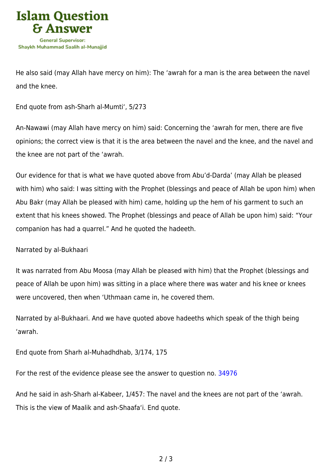

He also said (may Allah have mercy on him): The 'awrah for a man is the area between the navel and the knee.

End quote from ash-Sharh al-Mumti', 5/273

An-Nawawi (may Allah have mercy on him) said: Concerning the 'awrah for men, there are five opinions; the correct view is that it is the area between the navel and the knee, and the navel and the knee are not part of the 'awrah.

Our evidence for that is what we have quoted above from Abu'd-Darda' (may Allah be pleased with him) who said: I was sitting with the Prophet (blessings and peace of Allah be upon him) when Abu Bakr (may Allah be pleased with him) came, holding up the hem of his garment to such an extent that his knees showed. The Prophet (blessings and peace of Allah be upon him) said: "Your companion has had a quarrel." And he quoted the hadeeth.

Narrated by al-Bukhaari

It was narrated from Abu Moosa (may Allah be pleased with him) that the Prophet (blessings and peace of Allah be upon him) was sitting in a place where there was water and his knee or knees were uncovered, then when 'Uthmaan came in, he covered them.

Narrated by al-Bukhaari. And we have quoted above hadeeths which speak of the thigh being 'awrah.

End quote from Sharh al-Muhadhdhab, 3/174, 175

For the rest of the evidence please see the answer to question no. [34976](https://islamqa.com/en/answers/34976)

And he said in ash-Sharh al-Kabeer, 1/457: The navel and the knees are not part of the 'awrah. This is the view of Maalik and ash-Shaafa'i. End quote.